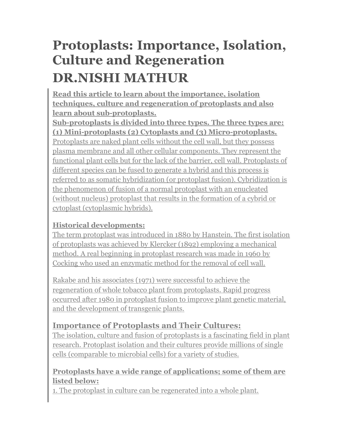# Protoplasts: Importance, Isolation, Culture and Regeneration DR.NISHI MATHUR

Read this article to learn about the importance, isolation techniques, culture and regeneration of protoplasts and also learn about sub-protoplasts.

Sub-protoplasts is divided into three types. The three types are: (1) Mini-protoplasts (2) Cytoplasts and (3) Micro-protoplasts. Protoplasts are naked plant cells without the cell wall, but they possess plasma membrane and all other cellular components. They represent the functional plant cells but for the lack of the barrier, cell wall. Protoplasts of different species can be fused to generate a hybrid and this process is referred to as somatic hybridization (or protoplast fusion). Cybridization is the phenomenon of fusion of a normal protoplast with an enucleated (without nucleus) protoplast that results in the formation of a cybrid or cytoplast (cytoplasmic hybrids).

## Historical developments:

The term protoplast was introduced in 1880 by Hanstein. The first isolation of protoplasts was achieved by Klercker (1892) employing a mechanical method. A real beginning in protoplast research was made in 1960 by Cocking who used an enzymatic method for the removal of cell wall.

Rakabe and his associates (1971) were successful to achieve the regeneration of whole tobacco plant from protoplasts. Rapid progress occurred after 1980 in protoplast fusion to improve plant genetic material, and the development of transgenic plants.

## Importance of Protoplasts and Their Cultures:

The isolation, culture and fusion of protoplasts is a fascinating field in plant research. Protoplast isolation and their cultures provide millions of single cells (comparable to microbial cells) for a variety of studies.

#### Protoplasts have a wide range of applications; some of them are listed below:

1. The protoplast in culture can be regenerated into a whole plant.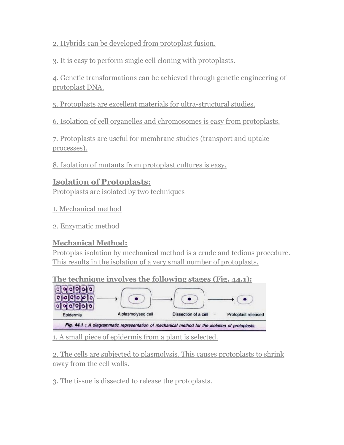2. Hybrids can be developed from protoplast fusion.

3. It is easy to perform single cell cloning with protoplasts.

4. Genetic transformations can be achieved through genetic engineering of protoplast DNA.

5. Protoplasts are excellent materials for ultra-structural studies.

6. Isolation of cell organelles and chromosomes is easy from protoplasts.

7. Protoplasts are useful for membrane studies (transport and uptake processes).

8. Isolation of mutants from protoplast cultures is easy.

Isolation of Protoplasts: Protoplasts are isolated by two techniques

1. Mechanical method

2. Enzymatic method

Mechanical Method:

Protoplas isolation by mechanical method is a crude and tedious procedure. This results in the isolation of a very small number of protoplasts.

The technique involves the following stages (Fig. 44.1):



1. A small piece of epidermis from a plant is selected.

2. The cells are subjected to plasmolysis. This causes protoplasts to shrink away from the cell walls.

3. The tissue is dissected to release the protoplasts.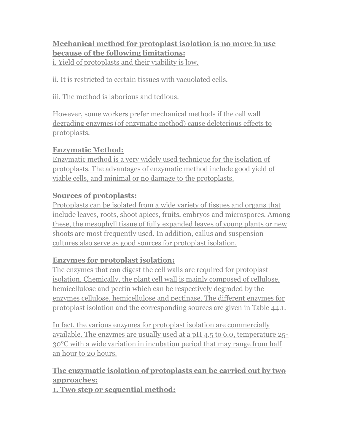## Mechanical method for protoplast isolation is no more in use because of the following limitations:

i. Yield of protoplasts and their viability is low.

ii. It is restricted to certain tissues with vacuolated cells.

iii. The method is laborious and tedious.

However, some workers prefer mechanical methods if the cell wall degrading enzymes (of enzymatic method) cause deleterious effects to protoplasts.

## Enzymatic Method:

Enzymatic method is a very widely used technique for the isolation of protoplasts. The advantages of enzymatic method include good yield of viable cells, and minimal or no damage to the protoplasts.

## Sources of protoplasts:

Protoplasts can be isolated from a wide variety of tissues and organs that include leaves, roots, shoot apices, fruits, embryos and microspores. Among these, the mesophyll tissue of fully expanded leaves of young plants or new shoots are most frequently used. In addition, callus and suspension cultures also serve as good sources for protoplast isolation.

## Enzymes for protoplast isolation:

The enzymes that can digest the cell walls are required for protoplast isolation. Chemically, the plant cell wall is mainly composed of cellulose, hemicellulose and pectin which can be respectively degraded by the enzymes cellulose, hemicellulose and pectinase. The different enzymes for protoplast isolation and the corresponding sources are given in Table 44.1.

In fact, the various enzymes for protoplast isolation are commercially available. The enzymes are usually used at a pH 4.5 to 6.0, temperature 25- 30°C with a wide variation in incubation period that may range from half an hour to 20 hours.

## The enzymatic isolation of protoplasts can be carried out by two approaches:

1. Two step or sequential method: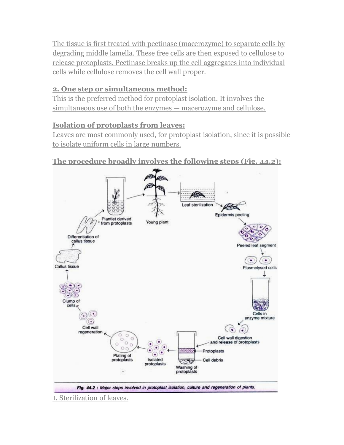The tissue is first treated with pectinase (macerozyme) to separate cells by degrading middle lamella. These free cells are then exposed to cellulose to release protoplasts. Pectinase breaks up the cell aggregates into individual cells while cellulose removes the cell wall proper.

#### 2. One step or simultaneous method:

This is the preferred method for protoplast isolation. It involves the simultaneous use of both the enzymes — macerozyme and cellulose.

#### Isolation of protoplasts from leaves:

Leaves are most commonly used, for protoplast isolation, since it is possible to isolate uniform cells in large numbers.

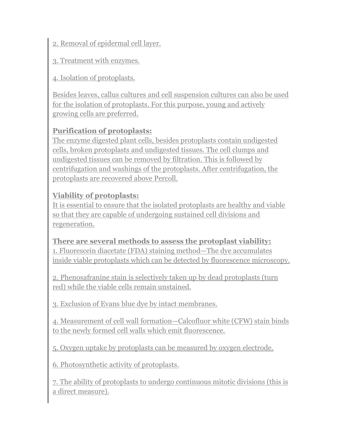- 2. Removal of epidermal cell layer.
- 3. Treatment with enzymes.
- 4. Isolation of protoplasts.

Besides leaves, callus cultures and cell suspension cultures can also be used for the isolation of protoplasts. For this purpose, young and actively growing cells are preferred.

#### Purification of protoplasts:

The enzyme digested plant cells, besides protoplasts contain undigested cells, broken protoplasts and undigested tissues. The cell clumps and undigested tissues can be removed by filtration. This is followed by centrifugation and washings of the protoplasts. After centrifugation, the protoplasts are recovered above Percoll.

#### Viability of protoplasts:

It is essential to ensure that the isolated protoplasts are healthy and viable so that they are capable of undergoing sustained cell divisions and regeneration.

There are several methods to assess the protoplast viability: 1. Fluorescein diacetate (FDA) staining method—The dye accumulates inside viable protoplasts which can be detected by fluorescence microscopy.

2. Phenosafranine stain is selectively taken up by dead protoplasts (turn red) while the viable cells remain unstained.

3. Exclusion of Evans blue dye by intact membranes.

4. Measurement of cell wall formation—Calcofluor white (CFW) stain binds to the newly formed cell walls which emit fluorescence.

5. Oxygen uptake by protoplasts can be measured by oxygen electrode.

6. Photosynthetic activity of protoplasts.

7. The ability of protoplasts to undergo continuous mitotic divisions (this is a direct measure).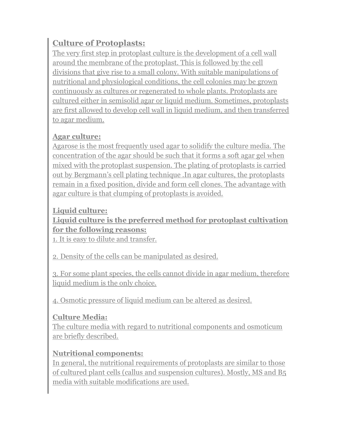## Culture of Protoplasts:

The very first step in protoplast culture is the development of a cell wall around the membrane of the protoplast. This is followed by the cell divisions that give rise to a small colony. With suitable manipulations of nutritional and physiological conditions, the cell colonies may be grown continuously as cultures or regenerated to whole plants. Protoplasts are cultured either in semisolid agar or liquid medium. Sometimes, protoplasts are first allowed to develop cell wall in liquid medium, and then transferred to agar medium.

## Agar culture:

Agarose is the most frequently used agar to solidify the culture media. The concentration of the agar should be such that it forms a soft agar gel when mixed with the protoplast suspension. The plating of protoplasts is carried out by Bergmann's cell plating technique .In agar cultures, the protoplasts remain in a fixed position, divide and form cell clones. The advantage with agar culture is that clumping of protoplasts is avoided.

## Liquid culture:

## Liquid culture is the preferred method for protoplast cultivation for the following reasons:

1. It is easy to dilute and transfer.

2. Density of the cells can be manipulated as desired.

3. For some plant species, the cells cannot divide in agar medium, therefore liquid medium is the only choice.

4. Osmotic pressure of liquid medium can be altered as desired.

## Culture Media:

The culture media with regard to nutritional components and osmoticum are briefly described.

## Nutritional components:

In general, the nutritional requirements of protoplasts are similar to those of cultured plant cells (callus and suspension cultures). Mostly, MS and B5 media with suitable modifications are used.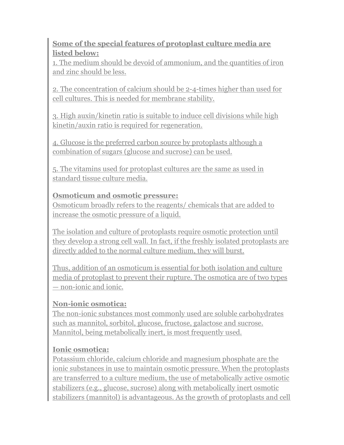### Some of the special features of protoplast culture media are listed below:

1. The medium should be devoid of ammonium, and the quantities of iron and zinc should be less.

2. The concentration of calcium should be 2-4-times higher than used for cell cultures. This is needed for membrane stability.

3. High auxin/kinetin ratio is suitable to induce cell divisions while high kinetin/auxin ratio is required for regeneration.

4. Glucose is the preferred carbon source by protoplasts although a combination of sugars (glucose and sucrose) can be used.

5. The vitamins used for protoplast cultures are the same as used in standard tissue culture media.

### Osmoticum and osmotic pressure:

Osmoticum broadly refers to the reagents/ chemicals that are added to increase the osmotic pressure of a liquid.

The isolation and culture of protoplasts require osmotic protection until they develop a strong cell wall. In fact, if the freshly isolated protoplasts are directly added to the normal culture medium, they will burst.

Thus, addition of an osmoticum is essential for both isolation and culture media of protoplast to prevent their rupture. The osmotica are of two types — non-ionic and ionic.

## Non-ionic osmotica:

The non-ionic substances most commonly used are soluble carbohydrates such as mannitol, sorbitol, glucose, fructose, galactose and sucrose. Mannitol, being metabolically inert, is most frequently used.

## Ionic osmotica:

Potassium chloride, calcium chloride and magnesium phosphate are the ionic substances in use to maintain osmotic pressure. When the protoplasts are transferred to a culture medium, the use of metabolically active osmotic stabilizers (e.g., glucose, sucrose) along with metabolically inert osmotic stabilizers (mannitol) is advantageous. As the growth of protoplasts and cell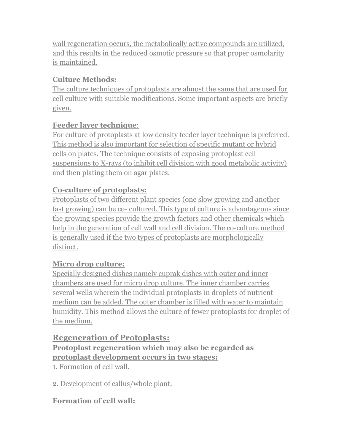wall regeneration occurs, the metabolically active compounds are utilized, and this results in the reduced osmotic pressure so that proper osmolarity is maintained.

#### Culture Methods:

The culture techniques of protoplasts are almost the same that are used for cell culture with suitable modifications. Some important aspects are briefly given.

#### Feeder layer technique:

For culture of protoplasts at low density feeder layer technique is preferred. This method is also important for selection of specific mutant or hybrid cells on plates. The technique consists of exposing protoplast cell suspensions to X-rays (to inhibit cell division with good metabolic activity) and then plating them on agar plates.

#### Co-culture of protoplasts:

Protoplasts of two different plant species (one slow growing and another fast growing) can be co- cultured. This type of culture is advantageous since the growing species provide the growth factors and other chemicals which help in the generation of cell wall and cell division. The co-culture method is generally used if the two types of protoplasts are morphologically distinct.

## Micro drop culture:

Specially designed dishes namely cuprak dishes with outer and inner chambers are used for micro drop culture. The inner chamber carries several wells wherein the individual protoplasts in droplets of nutrient medium can be added. The outer chamber is filled with water to maintain humidity. This method allows the culture of fewer protoplasts for droplet of the medium.

## Regeneration of Protoplasts:

Protoplast regeneration which may also be regarded as protoplast development occurs in two stages:

1. Formation of cell wall.

2. Development of callus/whole plant.

Formation of cell wall: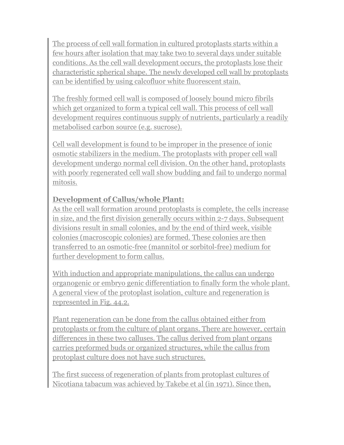The process of cell wall formation in cultured protoplasts starts within a few hours after isolation that may take two to several days under suitable conditions. As the cell wall development occurs, the protoplasts lose their characteristic spherical shape. The newly developed cell wall by protoplasts can be identified by using calcofluor white fluorescent stain.

The freshly formed cell wall is composed of loosely bound micro fibrils which get organized to form a typical cell wall. This process of cell wall development requires continuous supply of nutrients, particularly a readily metabolised carbon source (e.g. sucrose).

Cell wall development is found to be improper in the presence of ionic osmotic stabilizers in the medium. The protoplasts with proper cell wall development undergo normal cell division. On the other hand, protoplasts with poorly regenerated cell wall show budding and fail to undergo normal mitosis.

### Development of Callus/whole Plant:

As the cell wall formation around protoplasts is complete, the cells increase in size, and the first division generally occurs within 2-7 days. Subsequent divisions result in small colonies, and by the end of third week, visible colonies (macroscopic colonies) are formed. These colonies are then transferred to an osmotic-free (mannitol or sorbitol-free) medium for further development to form callus.

With induction and appropriate manipulations, the callus can undergo organogenic or embryo genic differentiation to finally form the whole plant. A general view of the protoplast isolation, culture and regeneration is represented in Fig. 44.2.

Plant regeneration can be done from the callus obtained either from protoplasts or from the culture of plant organs. There are however, certain differences in these two calluses. The callus derived from plant organs carries preformed buds or organized structures, while the callus from protoplast culture does not have such structures.

The first success of regeneration of plants from protoplast cultures of Nicotiana tabacum was achieved by Takebe et al (in 1971). Since then,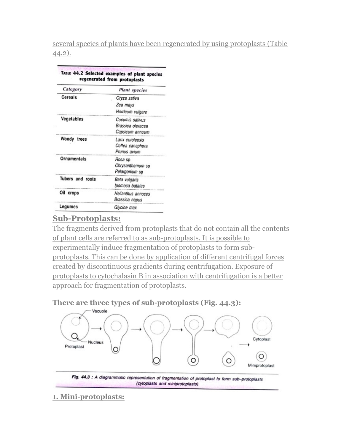#### several species of plants have been regenerated by using protoplasts (Table 44.2).

| Category         | <b>Plant</b> species |
|------------------|----------------------|
| Cereals          | Oryza sativa         |
|                  | Zea mays             |
|                  | Hordeum vulgare      |
| Vegetables       | Cucumis sativus      |
|                  | Brassica oleracea    |
|                  | Capsicum annuum      |
| Woody trees      | Larix eurolepsis     |
|                  | Coffea canephora     |
|                  | Prunus avium         |
| Ornamentals      | Rosa sp              |
|                  | Chrysanthernum sp    |
|                  | Pelargonium sp       |
| Tubers and roots | Beta vulgaris        |
|                  | Ipomoca batatas      |
| Oil crops        | Helianthus annuces   |
|                  | Brassica napus       |
| Legumes          | Glycine max          |

#### Sub-Protoplasts:

The fragments derived from protoplasts that do not contain all the contents of plant cells are referred to as sub-protoplasts. It is possible to experimentally induce fragmentation of protoplasts to form subprotoplasts. This can be done by application of different centrifugal forces created by discontinuous gradients during centrifugation. Exposure of protoplasts to cytochalasin B in association with centrifugation is a better approach for fragmentation of protoplasts.

#### There are three types of sub-protoplasts (Fig. 44.3):



Fig. 44.3 : A diagrammatic representation of fragmentation of protoplast to form sub-protoplasts (cytoplasts and miniprotoplasts)

1. Mini-protoplasts: